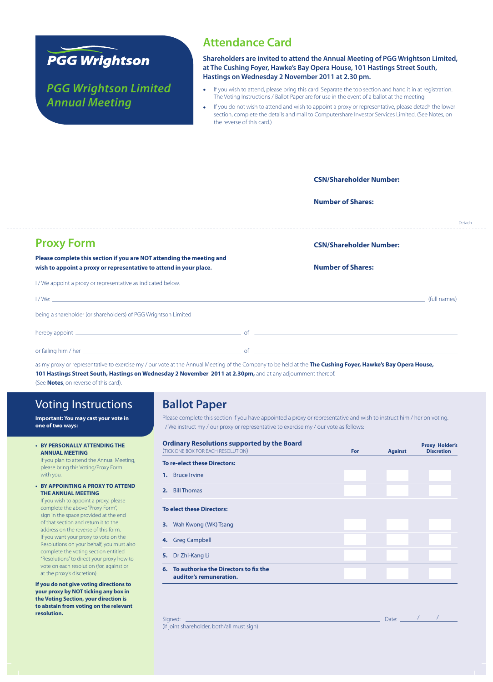

*PGG Wrightson Limited Annual Meeting*

### **Attendance Card**

**Shareholders are invited to attend the Annual Meeting of PGG Wrightson Limited, at The Cushing Foyer, Hawke's Bay Opera House, 101 Hastings Street South, Hastings on Wednesday 2 November 2011 at 2.30 pm.**

- If you wish to attend, please bring this card. Separate the top section and hand it in at registration. The Voting Instructions / Ballot Paper are for use in the event of a ballot at the meeting.
- If you do not wish to attend and wish to appoint a proxy or representative, please detach the lower section, complete the details and mail to Computershare Investor Services Limited. (See Notes, on the reverse of this card.)

|                                                                                                                                             |  | <b>CSN/Shareholder Number:</b> |        |
|---------------------------------------------------------------------------------------------------------------------------------------------|--|--------------------------------|--------|
|                                                                                                                                             |  | <b>Number of Shares:</b>       |        |
|                                                                                                                                             |  |                                | Detach |
| <b>Proxy Form</b>                                                                                                                           |  | <b>CSN/Shareholder Number:</b> |        |
| Please complete this section if you are NOT attending the meeting and<br>wish to appoint a proxy or representative to attend in your place. |  | <b>Number of Shares:</b>       |        |
| I / We appoint a proxy or representative as indicated below.                                                                                |  |                                |        |
|                                                                                                                                             |  |                                |        |
| being a shareholder (or shareholders) of PGG Wrightson Limited                                                                              |  |                                |        |
|                                                                                                                                             |  |                                |        |
|                                                                                                                                             |  |                                |        |
| المعامل المسابق المسابق المسابق المسابق المعامل المسابق المسابق المعامل المسابق المسابق المسابق المسابق المسابق                             |  |                                |        |

as my proxy or representative to exercise my / our vote at the Annual Meeting of the Company to be held at the **The Cushing Foyer, Hawke's Bay Opera House, 101 Hastings Street South, Hastings on Wednesday 2 November 2011 at 2.30pm,** and at any adjournment thereof.

(See **Notes**, on reverse of this card).

## Voting Instructions

**Important: You may cast your vote in one of two ways:**

**• BY PERSONALLY ATTENDINGTHE ANNUAL MEETING**

If you plan to attend the Annual Meeting, please bring this Voting/Proxy Form with you.

**• BY APPOINTING A PROXY TO ATTEND THE ANNUAL MEETING**

If you wish to appoint a proxy, please complete the above "Proxy Form", sign in the space provided at the end of that section and return it to the address on the reverse of this form. If you want your proxy to vote on the Resolutions on your behalf, you must also complete the voting section entitled "Resolutions" to direct your proxy how to vote on each resolution (for, against or at the proxy's discretion).

**If you do not give voting directions to your proxy by NOT ticking any box in the Voting Section, your direction is to abstain from voting on the relevant resolution.**

# **Ballot Paper**

Please complete this section if you have appointed a proxy or representative and wish to instruct him / her on voting. I / We instruct my / our proxy or representative to exercise my / our vote as follows:

|    | <b>Ordinary Resolutions supported by the Board</b><br>(TICK ONE BOX FOR EACH RESOLUTION) | <b>For</b> | <b>Against</b> | <b>Proxy Holder's</b><br><b>Discretion</b> |
|----|------------------------------------------------------------------------------------------|------------|----------------|--------------------------------------------|
|    | <b>To re-elect these Directors:</b>                                                      |            |                |                                            |
|    | 1. Bruce Irvine                                                                          |            |                |                                            |
| 2. | <b>Bill Thomas</b>                                                                       |            |                |                                            |
|    | <b>To elect these Directors:</b>                                                         |            |                |                                            |
| 3. | Wah Kwong (WK) Tsang                                                                     |            |                |                                            |
| 4. | <b>Greg Campbell</b>                                                                     |            |                |                                            |
| 5. | Dr Zhi-Kang Li                                                                           |            |                |                                            |
| 6. | To authorise the Directors to fix the<br>auditor's remuneration.                         |            |                |                                            |

Signed: Date: / / (if joint shareholder, both/all must sign)